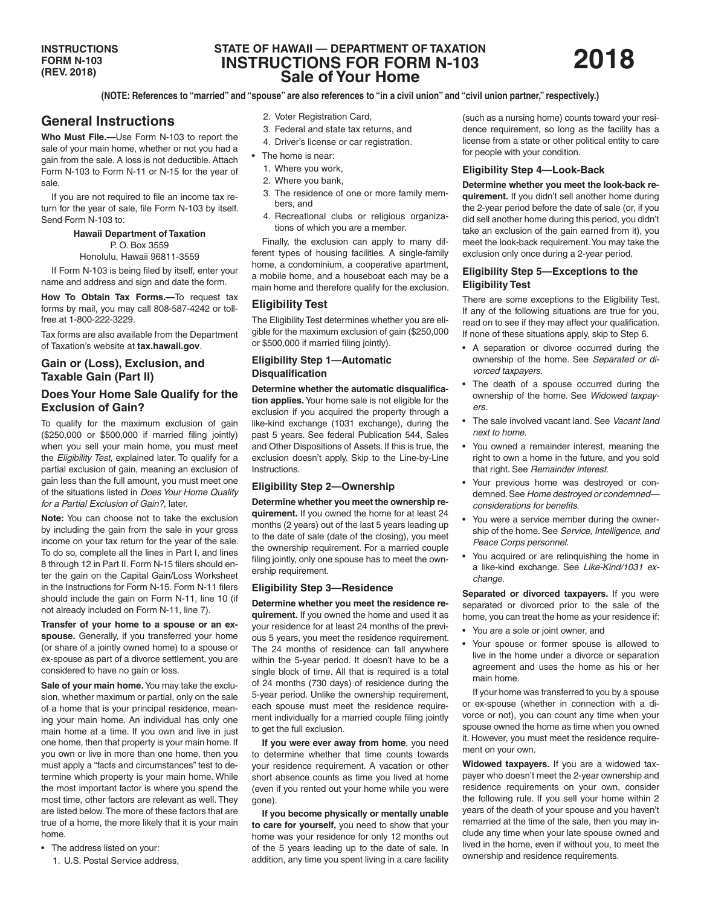# **STATE OF HAWAII — DEPARTMENT OF TAXATION INSTRUCTIONS FOR FORM N-103 Sale of Your Home**

**(NOTE: References to "married" and "spouse" are also references to "in a civil union" and "civil union partner," respectively.)**

# **General Instructions**

**Who Must File.—**Use Form N-103 to report the sale of your main home, whether or not you had a gain from the sale. A loss is not deductible. Attach Form N-103 to Form N-11 or N-15 for the year of sale.

If you are not required to file an income tax return for the year of sale, file Form N-103 by itself. Send Form N-103 to:

> **Hawaii Department of Taxation** P. O. Box 3559

Honolulu, Hawaii 96811-3559

If Form N-103 is being filed by itself, enter your name and address and sign and date the form.

**How To Obtain Tax Forms.—**To request tax forms by mail, you may call 808-587-4242 or tollfree at 1-800-222-3229.

Tax forms are also available from the Department of Taxation's website at **tax.hawaii.gov**.

### **Gain or (Loss), Exclusion, and Taxable Gain (Part II)**

### **Does Your Home Sale Qualify for the Exclusion of Gain?**

To qualify for the maximum exclusion of gain (\$250,000 or \$500,000 if married filing jointly) when you sell your main home, you must meet the *Eligibility Test*, explained later. To qualify for a partial exclusion of gain, meaning an exclusion of gain less than the full amount, you must meet one of the situations listed in *Does Your Home Qualify for a Partial Exclusion of Gain?*, later.

**Note:** You can choose not to take the exclusion by including the gain from the sale in your gross income on your tax return for the year of the sale. To do so, complete all the lines in Part I, and lines 8 through 12 in Part II. Form N-15 filers should enter the gain on the Capital Gain/Loss Worksheet in the Instructions for Form N-15. Form N-11 filers should include the gain on Form N-11, line 10 (if not already included on Form N-11, line 7).

**Transfer of your home to a spouse or an exspouse.** Generally, if you transferred your home (or share of a jointly owned home) to a spouse or ex-spouse as part of a divorce settlement, you are considered to have no gain or loss.

**Sale of your main home.** You may take the exclusion, whether maximum or partial, only on the sale of a home that is your principal residence, meaning your main home. An individual has only one main home at a time. If you own and live in just one home, then that property is your main home. If you own or live in more than one home, then you must apply a "facts and circumstances" test to determine which property is your main home. While the most important factor is where you spend the most time, other factors are relevant as well. They are listed below. The more of these factors that are true of a home, the more likely that it is your main home.

- The address listed on your:
	- 1. U.S. Postal Service address,
- 2. Voter Registration Card,
- 3. Federal and state tax returns, and
- 4. Driver's license or car registration.
- The home is near:
	- 1. Where you work,
	- 2. Where you bank,
	- 3. The residence of one or more family members, and
	- 4. Recreational clubs or religious organizations of which you are a member.

Finally, the exclusion can apply to many different types of housing facilities. A single-family home, a condominium, a cooperative apartment, a mobile home, and a houseboat each may be a main home and therefore qualify for the exclusion.

### **Eligibility Test**

The Eligibility Test determines whether you are eligible for the maximum exclusion of gain (\$250,000 or \$500,000 if married filing jointly).

### **Eligibility Step 1—Automatic Disqualification**

**Determine whether the automatic disqualification applies.** Your home sale is not eligible for the exclusion if you acquired the property through a like-kind exchange (1031 exchange), during the past 5 years. See federal Publication 544, Sales and Other Dispositions of Assets. If this is true, the exclusion doesn't apply. Skip to the Line-by-Line Instructions.

#### **Eligibility Step 2—Ownership**

**Determine whether you meet the ownership requirement.** If you owned the home for at least 24 months (2 years) out of the last 5 years leading up to the date of sale (date of the closing), you meet the ownership requirement. For a married couple filing jointly, only one spouse has to meet the ownership requirement.

#### **Eligibility Step 3—Residence**

**Determine whether you meet the residence requirement.** If you owned the home and used it as your residence for at least 24 months of the previous 5 years, you meet the residence requirement. The 24 months of residence can fall anywhere within the 5-year period. It doesn't have to be a single block of time. All that is required is a total of 24 months (730 days) of residence during the 5-year period. Unlike the ownership requirement, each spouse must meet the residence requirement individually for a married couple filing jointly to get the full exclusion.

**If you were ever away from home**, you need to determine whether that time counts towards your residence requirement. A vacation or other short absence counts as time you lived at home (even if you rented out your home while you were gone).

**If you become physically or mentally unable to care for yourself,** you need to show that your home was your residence for only 12 months out of the 5 years leading up to the date of sale. In addition, any time you spent living in a care facility (such as a nursing home) counts toward your residence requirement, so long as the facility has a license from a state or other political entity to care for people with your condition.

#### **Eligibility Step 4—Look-Back**

**Determine whether you meet the look-back requirement.** If you didn't sell another home during the 2-year period before the date of sale (or, if you did sell another home during this period, you didn't take an exclusion of the gain earned from it), you meet the look-back requirement. You may take the exclusion only once during a 2-year period.

### **Eligibility Step 5—Exceptions to the Eligibility Test**

There are some exceptions to the Eligibility Test. If any of the following situations are true for you, read on to see if they may affect your qualification. If none of these situations apply, skip to Step 6.

- A separation or divorce occurred during the ownership of the home. See *Separated or divorced taxpayers*.
- The death of a spouse occurred during the ownership of the home. See *Widowed taxpayers*.
- The sale involved vacant land. See *Vacant land next to home*.
- You owned a remainder interest, meaning the right to own a home in the future, and you sold that right. See *Remainder interest*.
- Your previous home was destroyed or condemned. See *Home destroyed or condemned considerations for benefits*.
- You were a service member during the ownership of the home. See *Service, Intelligence, and Peace Corps personnel*.
- You acquired or are relinquishing the home in a like-kind exchange. See *Like-Kind/1031 exchange*.

**Separated or divorced taxpayers.** If you were separated or divorced prior to the sale of the home, you can treat the home as your residence if:

- You are a sole or joint owner, and
- Your spouse or former spouse is allowed to live in the home under a divorce or separation agreement and uses the home as his or her main home.

If your home was transferred to you by a spouse or ex-spouse (whether in connection with a divorce or not), you can count any time when your spouse owned the home as time when you owned it. However, you must meet the residence requirement on your own.

**Widowed taxpayers.** If you are a widowed taxpayer who doesn't meet the 2-year ownership and residence requirements on your own, consider the following rule. If you sell your home within 2 years of the death of your spouse and you haven't remarried at the time of the sale, then you may include any time when your late spouse owned and lived in the home, even if without you, to meet the ownership and residence requirements.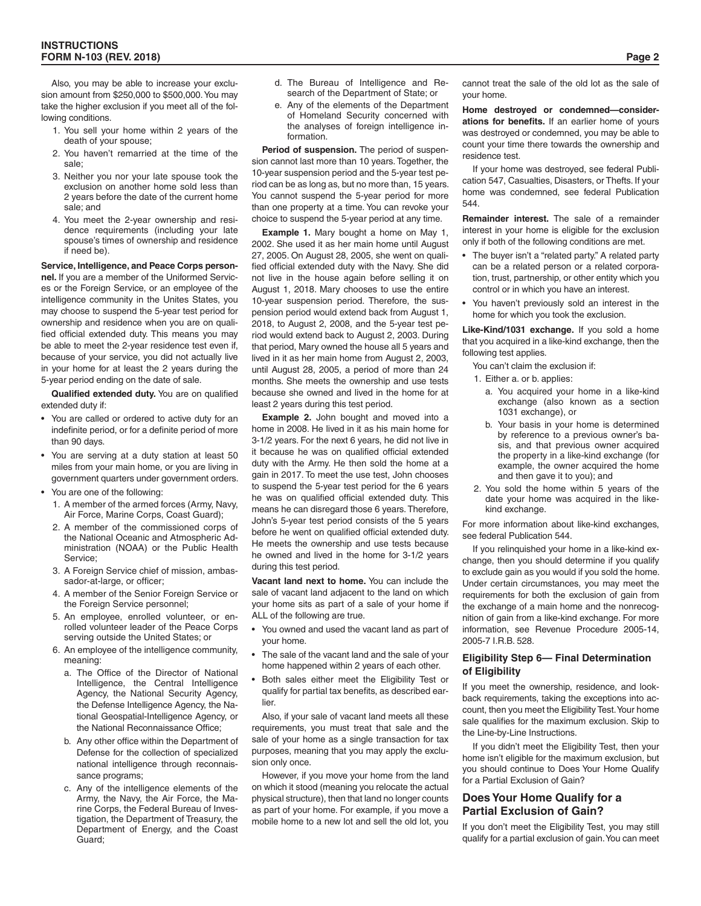Also, you may be able to increase your exclusion amount from \$250,000 to \$500,000. You may take the higher exclusion if you meet all of the following conditions.

- 1. You sell your home within 2 years of the death of your spouse;
- 2. You haven't remarried at the time of the sale;
- 3. Neither you nor your late spouse took the exclusion on another home sold less than 2 years before the date of the current home sale; and
- 4. You meet the 2-year ownership and residence requirements (including your late spouse's times of ownership and residence if need be).

**Service, Intelligence, and Peace Corps personnel.** If you are a member of the Uniformed Services or the Foreign Service, or an employee of the intelligence community in the Unites States, you may choose to suspend the 5-year test period for ownership and residence when you are on qualified official extended duty. This means you may be able to meet the 2-year residence test even if, because of your service, you did not actually live in your home for at least the 2 years during the 5-year period ending on the date of sale.

**Qualified extended duty.** You are on qualified extended duty if:

- You are called or ordered to active duty for an indefinite period, or for a definite period of more than 90 days.
- You are serving at a duty station at least 50 miles from your main home, or you are living in government quarters under government orders.
- You are one of the following:
	- 1. A member of the armed forces (Army, Navy, Air Force, Marine Corps, Coast Guard);
	- 2. A member of the commissioned corps of the National Oceanic and Atmospheric Administration (NOAA) or the Public Health Service;
	- 3. A Foreign Service chief of mission, ambassador-at-large, or officer;
	- 4. A member of the Senior Foreign Service or the Foreign Service personnel;
	- 5. An employee, enrolled volunteer, or enrolled volunteer leader of the Peace Corps serving outside the United States; or
	- 6. An employee of the intelligence community, meaning:
		- a. The Office of the Director of National Intelligence, the Central Intelligence Agency, the National Security Agency, the Defense Intelligence Agency, the National Geospatial-Intelligence Agency, or the National Reconnaissance Office;
		- b. Any other office within the Department of Defense for the collection of specialized national intelligence through reconnaissance programs;
		- c. Any of the intelligence elements of the Army, the Navy, the Air Force, the Marine Corps, the Federal Bureau of Investigation, the Department of Treasury, the Department of Energy, and the Coast Guard;
- d. The Bureau of Intelligence and Research of the Department of State; or
- Any of the elements of the Department of Homeland Security concerned with the analyses of foreign intelligence information.

**Period of suspension.** The period of suspension cannot last more than 10 years. Together, the 10-year suspension period and the 5-year test period can be as long as, but no more than, 15 years. You cannot suspend the 5-year period for more than one property at a time. You can revoke your choice to suspend the 5-year period at any time.

**Example 1.** Mary bought a home on May 1, 2002. She used it as her main home until August 27, 2005. On August 28, 2005, she went on qualified official extended duty with the Navy. She did not live in the house again before selling it on August 1, 2018. Mary chooses to use the entire 10-year suspension period. Therefore, the suspension period would extend back from August 1, 2018, to August 2, 2008, and the 5-year test period would extend back to August 2, 2003. During that period, Mary owned the house all 5 years and lived in it as her main home from August 2, 2003, until August 28, 2005, a period of more than 24 months. She meets the ownership and use tests because she owned and lived in the home for at least 2 years during this test period.

**Example 2.** John bought and moved into a home in 2008. He lived in it as his main home for 3-1/2 years. For the next 6 years, he did not live in it because he was on qualified official extended duty with the Army. He then sold the home at a gain in 2017. To meet the use test, John chooses to suspend the 5-year test period for the 6 years he was on qualified official extended duty. This means he can disregard those 6 years. Therefore, John's 5-year test period consists of the 5 years before he went on qualified official extended duty. He meets the ownership and use tests because he owned and lived in the home for 3-1/2 years during this test period.

**Vacant land next to home.** You can include the sale of vacant land adjacent to the land on which your home sits as part of a sale of your home if ALL of the following are true.

- You owned and used the vacant land as part of your home.
- The sale of the vacant land and the sale of your home happened within 2 years of each other.
- Both sales either meet the Eligibility Test or qualify for partial tax benefits, as described earlier.

Also, if your sale of vacant land meets all these requirements, you must treat that sale and the sale of your home as a single transaction for tax purposes, meaning that you may apply the exclusion only once.

However, if you move your home from the land on which it stood (meaning you relocate the actual physical structure), then that land no longer counts as part of your home. For example, if you move a mobile home to a new lot and sell the old lot, you

cannot treat the sale of the old lot as the sale of your home.

**Home destroyed or condemned—considerations for benefits.** If an earlier home of yours was destroyed or condemned, you may be able to count your time there towards the ownership and residence test.

If your home was destroyed, see federal Publication 547, Casualties, Disasters, or Thefts. If your home was condemned, see federal Publication 544.

**Remainder interest.** The sale of a remainder interest in your home is eligible for the exclusion only if both of the following conditions are met.

- The buyer isn't a "related party." A related party can be a related person or a related corporation, trust, partnership, or other entity which you control or in which you have an interest.
- You haven't previously sold an interest in the home for which you took the exclusion.

**Like-Kind/1031 exchange.** If you sold a home that you acquired in a like-kind exchange, then the following test applies.

You can't claim the exclusion if:

- 1. Either a. or b. applies:
- a. You acquired your home in a like-kind exchange (also known as a section 1031 exchange), or
- b. Your basis in your home is determined by reference to a previous owner's basis, and that previous owner acquired the property in a like-kind exchange (for example, the owner acquired the home and then gave it to you); and
- 2. You sold the home within 5 years of the date your home was acquired in the likekind exchange.

For more information about like-kind exchanges, see federal Publication 544.

If you relinquished your home in a like-kind exchange, then you should determine if you qualify to exclude gain as you would if you sold the home. Under certain circumstances, you may meet the requirements for both the exclusion of gain from the exchange of a main home and the nonrecognition of gain from a like-kind exchange. For more information, see Revenue Procedure 2005-14, 2005-7 I.R.B. 528.

### **Eligibility Step 6— Final Determination of Eligibility**

If you meet the ownership, residence, and lookback requirements, taking the exceptions into account, then you meet the Eligibility Test. Your home sale qualifies for the maximum exclusion. Skip to the Line-by-Line Instructions.

If you didn't meet the Eligibility Test, then your home isn't eligible for the maximum exclusion, but you should continue to Does Your Home Qualify for a Partial Exclusion of Gain?

### **Does Your Home Qualify for a Partial Exclusion of Gain?**

If you don't meet the Eligibility Test, you may still qualify for a partial exclusion of gain. You can meet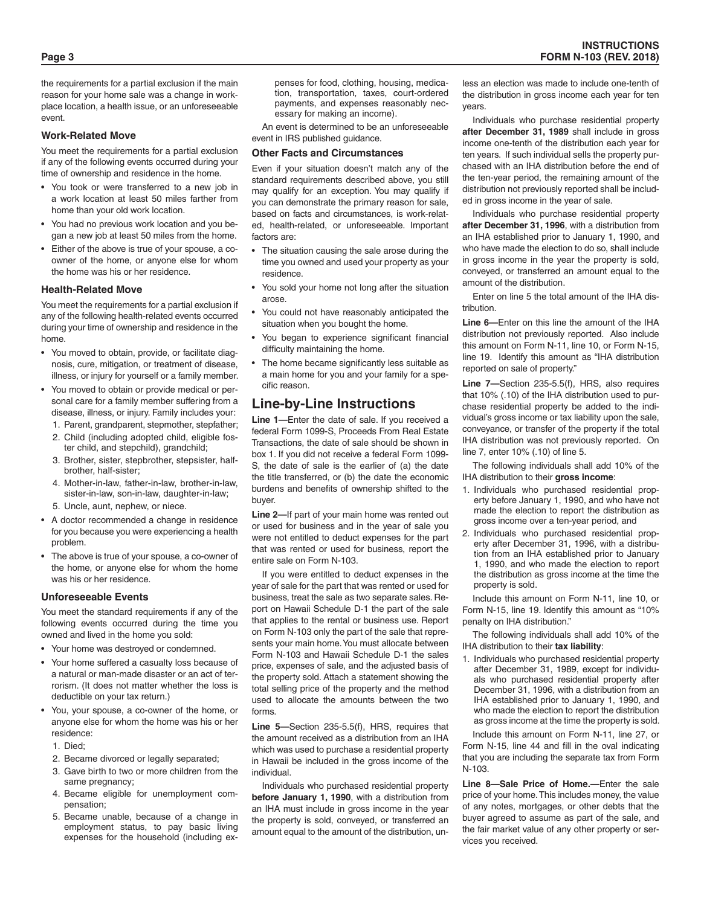the requirements for a partial exclusion if the main reason for your home sale was a change in workplace location, a health issue, or an unforeseeable event.

#### **Work-Related Move**

You meet the requirements for a partial exclusion if any of the following events occurred during your time of ownership and residence in the home.

- You took or were transferred to a new job in a work location at least 50 miles farther from home than your old work location.
- You had no previous work location and you began a new job at least 50 miles from the home.
- Either of the above is true of your spouse, a coowner of the home, or anyone else for whom the home was his or her residence.

#### **Health-Related Move**

You meet the requirements for a partial exclusion if any of the following health-related events occurred during your time of ownership and residence in the home.

- You moved to obtain, provide, or facilitate diagnosis, cure, mitigation, or treatment of disease, illness, or injury for yourself or a family member.
- You moved to obtain or provide medical or personal care for a family member suffering from a disease, illness, or injury. Family includes your:
	- 1. Parent, grandparent, stepmother, stepfather;
	- 2. Child (including adopted child, eligible foster child, and stepchild), grandchild;
	- 3. Brother, sister, stepbrother, stepsister, halfbrother, half-sister;
	- 4. Mother-in-law, father-in-law, brother-in-law, sister-in-law, son-in-law, daughter-in-law;
	- 5. Uncle, aunt, nephew, or niece.
- A doctor recommended a change in residence for you because you were experiencing a health problem.
- The above is true of your spouse, a co-owner of the home, or anyone else for whom the home was his or her residence.

#### **Unforeseeable Events**

You meet the standard requirements if any of the following events occurred during the time you owned and lived in the home you sold:

- Your home was destroyed or condemned.
- Your home suffered a casualty loss because of a natural or man-made disaster or an act of terrorism. (It does not matter whether the loss is deductible on your tax return.)
- You, your spouse, a co-owner of the home, or anyone else for whom the home was his or her residence:
	- 1. Died;
	- 2. Became divorced or legally separated:
	- 3. Gave birth to two or more children from the same pregnancy;
	- 4. Became eligible for unemployment compensation;
	- 5. Became unable, because of a change in employment status, to pay basic living expenses for the household (including ex-

penses for food, clothing, housing, medication, transportation, taxes, court-ordered payments, and expenses reasonably necessary for making an income).

An event is determined to be an unforeseeable event in IRS published guidance.

#### **Other Facts and Circumstances**

Even if your situation doesn't match any of the standard requirements described above, you still may qualify for an exception. You may qualify if you can demonstrate the primary reason for sale, based on facts and circumstances, is work-related, health-related, or unforeseeable. Important factors are:

- The situation causing the sale arose during the time you owned and used your property as your residence.
- You sold your home not long after the situation arose.
- You could not have reasonably anticipated the situation when you bought the home.
- You began to experience significant financial difficulty maintaining the home.
- The home became significantly less suitable as a main home for you and your family for a specific reason.

# **Line-by-Line Instructions**

**Line 1—**Enter the date of sale. If you received a federal Form 1099-S, Proceeds From Real Estate Transactions, the date of sale should be shown in box 1. If you did not receive a federal Form 1099- S, the date of sale is the earlier of (a) the date the title transferred, or (b) the date the economic burdens and benefits of ownership shifted to the buyer.

**Line 2—**If part of your main home was rented out or used for business and in the year of sale you were not entitled to deduct expenses for the part that was rented or used for business, report the entire sale on Form N-103.

If you were entitled to deduct expenses in the year of sale for the part that was rented or used for business, treat the sale as two separate sales. Report on Hawaii Schedule D-1 the part of the sale that applies to the rental or business use. Report on Form N-103 only the part of the sale that represents your main home. You must allocate between Form N-103 and Hawaii Schedule D-1 the sales price, expenses of sale, and the adjusted basis of the property sold. Attach a statement showing the total selling price of the property and the method used to allocate the amounts between the two forms.

**Line 5—**Section 235-5.5(f), HRS, requires that the amount received as a distribution from an IHA which was used to purchase a residential property in Hawaii be included in the gross income of the individual.

Individuals who purchased residential property **before January 1, 1990**, with a distribution from an IHA must include in gross income in the year the property is sold, conveyed, or transferred an amount equal to the amount of the distribution, unless an election was made to include one-tenth of the distribution in gross income each year for ten years.

Individuals who purchase residential property **after December 31, 1989** shall include in gross income one-tenth of the distribution each year for ten years. If such individual sells the property purchased with an IHA distribution before the end of the ten-year period, the remaining amount of the distribution not previously reported shall be included in gross income in the year of sale.

Individuals who purchase residential property **after December 31, 1996**, with a distribution from an IHA established prior to January 1, 1990, and who have made the election to do so, shall include in gross income in the year the property is sold, conveyed, or transferred an amount equal to the amount of the distribution.

Enter on line 5 the total amount of the IHA distribution.

**Line 6—**Enter on this line the amount of the IHA distribution not previously reported. Also include this amount on Form N-11, line 10, or Form N-15, line 19. Identify this amount as "IHA distribution reported on sale of property."

**Line 7—**Section 235-5.5(f), HRS, also requires that 10% (.10) of the IHA distribution used to purchase residential property be added to the individual's gross income or tax liability upon the sale, conveyance, or transfer of the property if the total IHA distribution was not previously reported. On line 7, enter 10% (.10) of line 5.

The following individuals shall add 10% of the IHA distribution to their **gross income**:

- 1. Individuals who purchased residential property before January 1, 1990, and who have not made the election to report the distribution as gross income over a ten-year period, and
- 2. Individuals who purchased residential property after December 31, 1996, with a distribution from an IHA established prior to January 1, 1990, and who made the election to report the distribution as gross income at the time the property is sold.

Include this amount on Form N-11, line 10, or Form N-15, line 19. Identify this amount as "10% penalty on IHA distribution."

The following individuals shall add 10% of the IHA distribution to their **tax liability**:

1. Individuals who purchased residential property after December 31, 1989, except for individuals who purchased residential property after December 31, 1996, with a distribution from an IHA established prior to January 1, 1990, and who made the election to report the distribution as gross income at the time the property is sold.

Include this amount on Form N-11, line 27, or Form N-15, line 44 and fill in the oval indicating that you are including the separate tax from Form N-103.

**Line 8—Sale Price of Home.—**Enter the sale price of your home. This includes money, the value of any notes, mortgages, or other debts that the buyer agreed to assume as part of the sale, and the fair market value of any other property or services you received.